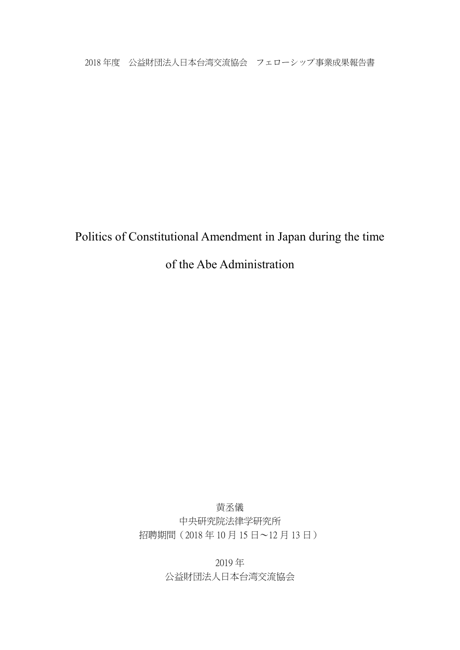2018 年度 公益財団法人日本台湾交流協会 フェローシップ事業成果報告書

Politics of Constitutional Amendment in Japan during the time

of the Abe Administration

黄丞儀 中央研究院法律学研究所 招聘期間(2018 年 10 月 15 日~12 月 13 日)

> 2019 年 公益財団法人日本台湾交流協会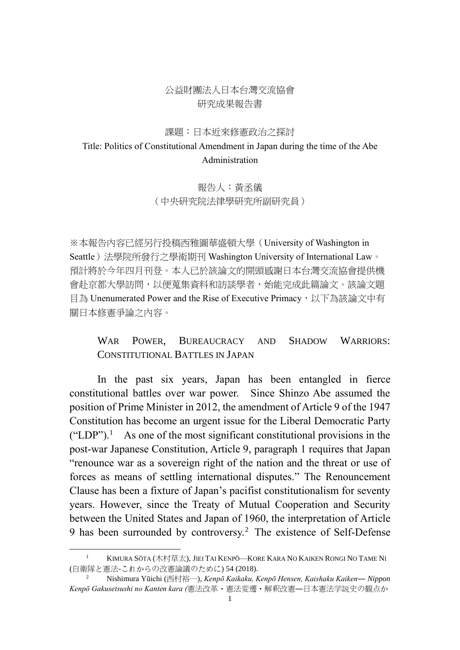### 公益財團法人日本台灣交流協會 研究成果報告書

#### 課題:日本近來修憲政治之探討

## Title: Politics of Constitutional Amendment in Japan during the time of the Abe Administration

## 報告人:黃丞儀 (中央研究院法律學研究所副研究員)

※本報告內容已經另行投稿西雅圖華盛頓大學(University of Washington in Seattle)法學院所發行之學術期刊 Washington University of International Law。 預計將於今年四月刊登。本人已於該論文的開頭感謝日本台灣交流協會提供機 會赴京都大學訪問,以便蒐集資料和訪談學者,始能完成此篇論文。該論文題 目為 Unenumerated Power and the Rise of Executive Primacy, 以下為該論文中有 關日本修憲爭論之內容。

## WAR POWER, BUREAUCRACY AND SHADOW WARRIORS: CONSTITUTIONAL BATTLES IN JAPAN

<span id="page-1-0"></span>In the past six years, Japan has been entangled in fierce constitutional battles over war power. Since Shinzo Abe assumed the position of Prime Minister in 2012, the amendment of Article 9 of the 1947 Constitution has become an urgent issue for the Liberal Democratic Party  $("LDP")$ .<sup>1</sup> As one of the most significant constitutional provisions in the post-war Japanese Constitution, Article 9, paragraph 1 requires that Japan "renounce war as a sovereign right of the nation and the threat or use of forces as means of settling international disputes." The Renouncement Clause has been a fixture of Japan's pacifist constitutionalism for seventy years. However, since the Treaty of Mutual Cooperation and Security between the United States and Japan of 1960, the interpretation of Article 9 has been surrounded by controversy.<sup>2</sup> The existence of Self-Defense

<u>.</u>

<sup>&</sup>lt;sup>1</sup> KIMURA SŌTA (木村草太), JIEI TAI KENPŌ—KORE KARA NO KAIKEN RONGI NO TAME NI (自衛隊と憲法-これからの改憲論議のために) 54 (2018).

<sup>2</sup> Nishimura Yūichi (西村裕一), *Kenpō Kaikaku, Kenpō Hensen, Kaishaku Kaiken― Nippon Kenpō Gakusetsushi no Kanten kara (*憲法改革・憲法変遷・解釈改憲―日本憲法学説史の観点か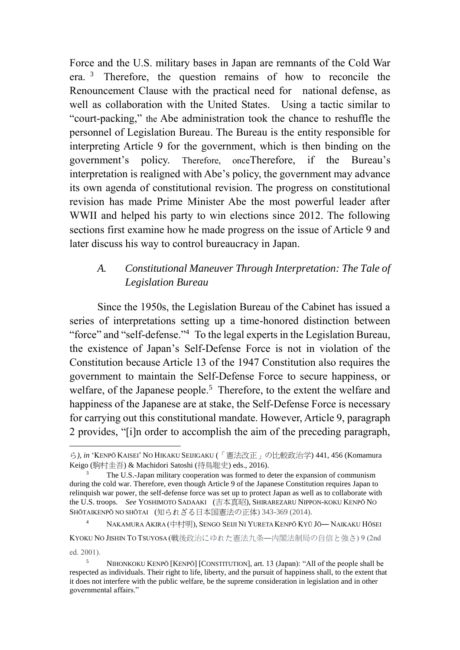Force and the U.S. military bases in Japan are remnants of the Cold War era. 3 Therefore, the question remains of how to reconcile the Renouncement Clause with the practical need for national defense, as well as collaboration with the United States. Using a tactic similar to "court-packing," the Abe administration took the chance to reshuffle the personnel of Legislation Bureau. The Bureau is the entity responsible for interpreting Article 9 for the government, which is then binding on the government's policy. Therefore, onceTherefore, if the Bureau's interpretation is realigned with Abe's policy, the government may advance its own agenda of constitutional revision. The progress on constitutional revision has made Prime Minister Abe the most powerful leader after WWII and helped his party to win elections since 2012. The following sections first examine how he made progress on the issue of Article 9 and later discuss his way to control bureaucracy in Japan.

# *A. Constitutional Maneuver Through Interpretation: The Tale of Legislation Bureau*

Since the 1950s, the Legislation Bureau of the Cabinet has issued a series of interpretations setting up a time-honored distinction between "force" and "self-defense."<sup>4</sup> To the legal experts in the Legislation Bureau, the existence of Japan's Self-Defense Force is not in violation of the Constitution because Article 13 of the 1947 Constitution also requires the government to maintain the Self-Defense Force to secure happiness, or welfare, of the Japanese people.<sup>5</sup> Therefore, to the extent the welfare and happiness of the Japanese are at stake, the Self-Defense Force is necessary for carrying out this constitutional mandate. However, Article 9, paragraph 2 provides, "[i]n order to accomplish the aim of the preceding paragraph,

1

<sup>4</sup> NAKAMURA AKIRA (中村明), SENGO SEIJI NI YURETA KENPŌ KYŪ JŌ― NAIKAKU HŌSEI

KYOKU NO JISHIN TO TSUYOSA (戦後政治にゆれた憲法九条―内閣法制局の自信と強さ) 9 (2nd ed. 2001).

ら*)*, *in* 'KENPŌ KAISEI' NO HIKAKU SEIJIGAKU (「憲法改正」の比較政治学) 441, 456 (Komamura Keigo (駒村圭吾) & Machidori Satoshi (待鳥聡史) eds., 2016).

<sup>3</sup> The U.S.-Japan military cooperation was formed to deter the expansion of communism during the cold war. Therefore, even though Article 9 of the Japanese Constitution requires Japan to relinquish war power, the self-defense force was set up to protect Japan as well as to collaborate with the U.S. troops. *See* YOSHIMOTO SADAAKI (吉本真昭), SHIRAREZARU NIPPON-KOKU KENPŌ NO SHŌTAIKENPŌ NO SHŌTAI (知られざる日本国憲法の正体) 343-369 (2014).

<sup>5</sup> NIHONKOKU KENPŌ [KENPŌ] [CONSTITUTION], art. 13 (Japan): "All of the people shall be respected as individuals. Their right to life, liberty, and the pursuit of happiness shall, to the extent that it does not interfere with the public welfare, be the supreme consideration in legislation and in other governmental affairs."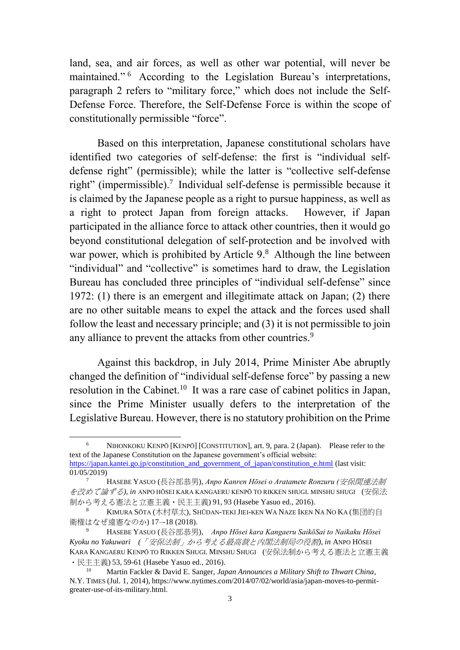land, sea, and air forces, as well as other war potential, will never be maintained." 6 According to the Legislation Bureau's interpretations, paragraph 2 refers to "military force," which does not include the Self-Defense Force. Therefore, the Self-Defense Force is within the scope of constitutionally permissible "force".

<span id="page-3-1"></span><span id="page-3-0"></span>Based on this interpretation, Japanese constitutional scholars have identified two categories of self-defense: the first is "individual selfdefense right" (permissible); while the latter is "collective self-defense right" (impermissible).<sup>7</sup> Individual self-defense is permissible because it is claimed by the Japanese people as a right to pursue happiness, as well as a right to protect Japan from foreign attacks. However, if Japan participated in the alliance force to attack other countries, then it would go beyond constitutional delegation of self-protection and be involved with war power, which is prohibited by Article 9.<sup>8</sup> Although the line between "individual" and "collective" is sometimes hard to draw, the Legislation Bureau has concluded three principles of "individual self-defense" since 1972: (1) there is an emergent and illegitimate attack on Japan; (2) there are no other suitable means to expel the attack and the forces used shall follow the least and necessary principle; and (3) it is not permissible to join any alliance to prevent the attacks from other countries.<sup>9</sup>

Against this backdrop, in July 2014, Prime Minister Abe abruptly changed the definition of "individual self-defense force" by passing a new resolution in the Cabinet.<sup>10</sup> It was a rare case of cabinet politics in Japan, since the Prime Minister usually defers to the interpretation of the Legislative Bureau. However, there is no statutory prohibition on the Prime

 $01/05/2019$ 

<sup>6</sup> NIHONKOKU KENPŌ [KENPŌ] [CONSTITUTION], art. 9, para. 2 (Japan). Please refer to the text of the Japanese Constitution on the Japanese government's official website: [https://japan.kantei.go.jp/constitution\\_and\\_government\\_of\\_japan/constitution\\_e.html](https://japan.kantei.go.jp/constitution_and_government_of_japan/constitution_e.html) (last visit:

<sup>7</sup> HASEBE YASUO (長谷部恭男), *Anpo Kanren Hōsei o Aratamete Ronzuru (*安保関連法制 を改めて論ずる*), in* ANPO HŌSEI KARA KANGAERU KENPŌ TO RIKKEN SHUGI. MINSHU SHUGI (安保法 制から考える憲法と立憲主義・民主主義) 91, 93 (Hasebe Yasuo ed., 2016).

<sup>8</sup> KIMURA SŌTA (木村草太), SHŪDAN-TEKI JIEI-KEN WA NAZE IKEN NA NO KA (集団的自 衛権はなぜ違憲なのか) 17–-18 (2018).

<sup>9</sup> HASEBE YASUO (長谷部恭男), *Anpo Hōsei kara Kangaeru SaikōSai to Naikaku Hōsei Kyoku no Yakuwari (*「安保法制」から考える最高裁と内閣法制局の役割*), in* ANPO HŌSEI KARA KANGAERU KENPŌ TO RIKKEN SHUGI. MINSHU SHUGI (安保法制から考える憲法と立憲主義 ・民主主義) 53, 59-61 (Hasebe Yasuo ed., 2016).

<sup>10</sup> Martin Fackler & David E. Sanger, *Japan Announces a Military Shift to Thwart China*, N.Y. TIMES (Jul. 1, 2014), https://www.nytimes.com/2014/07/02/world/asia/japan-moves-to-permitgreater-use-of-its-military.html.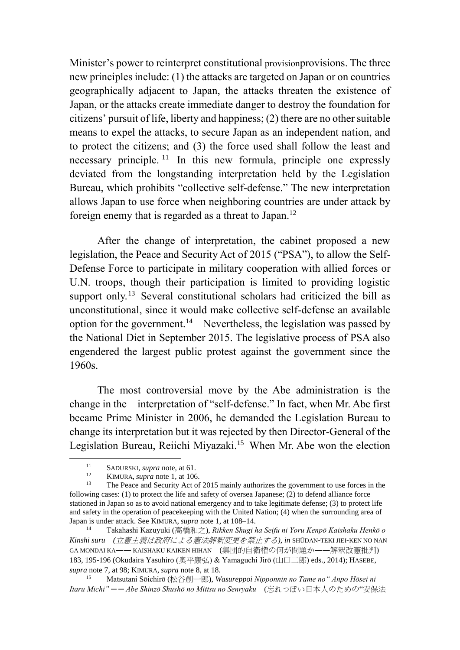Minister's power to reinterpret constitutional provisionprovisions. The three new principles include: (1) the attacks are targeted on Japan or on countries geographically adjacent to Japan, the attacks threaten the existence of Japan, or the attacks create immediate danger to destroy the foundation for citizens' pursuit of life, liberty and happiness; (2) there are no other suitable means to expel the attacks, to secure Japan as an independent nation, and to protect the citizens; and (3) the force used shall follow the least and necessary principle.<sup>11</sup> In this new formula, principle one expressly deviated from the longstanding interpretation held by the Legislation Bureau, which prohibits "collective self-defense." The new interpretation allows Japan to use force when neighboring countries are under attack by foreign enemy that is regarded as a threat to Japan.<sup>12</sup>

After the change of interpretation, the cabinet proposed a new legislation, the Peace and Security Act of 2015 ("PSA"), to allow the Self-Defense Force to participate in military cooperation with allied forces or U.N. troops, though their participation is limited to providing logistic support only.<sup>13</sup> Several constitutional scholars had criticized the bill as unconstitutional, since it would make collective self-defense an available option for the government.<sup>14</sup> Nevertheless, the legislation was passed by the National Diet in September 2015. The legislative process of PSA also engendered the largest public protest against the government since the 1960s.

The most controversial move by the Abe administration is the change in the interpretation of "self-defense." In fact, when Mr. Abe first became Prime Minister in 2006, he demanded the Legislation Bureau to change its interpretation but it was rejected by then Director-General of the Legislation Bureau, Reiichi Miyazaki.<sup>15</sup> When Mr. Abe won the election

<u>.</u>

<sup>11</sup> SADURSKI, *supra* note, at 61.

KIMURA, *supra* note [1,](#page-1-0) at 106.

<sup>13</sup> The Peace and Security Act of 2015 mainly authorizes the government to use forces in the following cases: (1) to protect the life and safety of oversea Japanese; (2) to defend alliance force stationed in Japan so as to avoid national emergency and to take legitimate defense; (3) to protect life and safety in the operation of peacekeeping with the United Nation; (4) when the surrounding area of Japan is under attack. See KIMURA, *supra* note [1,](#page-1-0) at 108–14.

<sup>14</sup> Takahashi Kazuyuki (高橋和之), *Rikken Shugi ha Seifu ni Yoru Kenpō Kaishaku Henkō o Kinshi suru (*立憲主義は政府による憲法解釈変更を禁止する*)*, *in* SHŪDAN-TEKI JIEI-KEN NO NAN GA MONDAI KA―― KAISHAKU KAIKEN HIHAN (集団的自衛権の何が問題か――解釈改憲批判) 183, 195-196 (Okudaira Yasuhiro (奥平康弘) & Yamaguchi Jirō (山口二郎) eds., 2014); HASEBE, *supra* note [7,](#page-3-0) at 98; KIMURA, *supra* note [8,](#page-3-1) at 18.

<sup>15</sup> Matsutani Sōichirō (松谷創一郎), *Wasureppoi Nipponnin no Tame no" Anpo Hōsei ni Itaru Michi" ─ ─ Abe Shinzō Shushō no Mittsu no Senryaku* (忘れっぽい日本人のための"安保法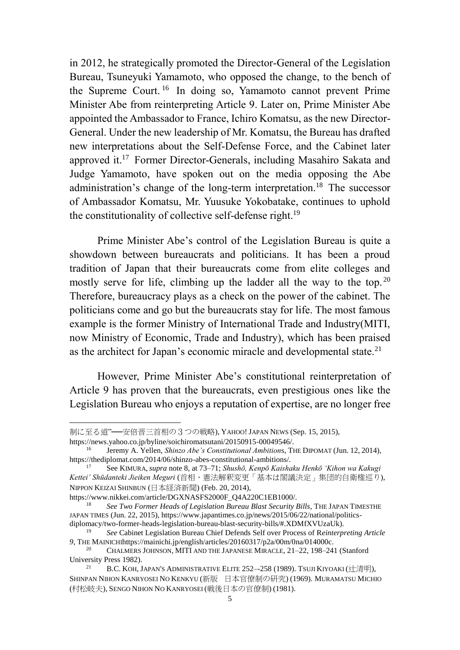in 2012, he strategically promoted the Director-General of the Legislation Bureau, Tsuneyuki Yamamoto, who opposed the change, to the bench of the Supreme Court.<sup>16</sup> In doing so, Yamamoto cannot prevent Prime Minister Abe from reinterpreting Article 9. Later on, Prime Minister Abe appointed the Ambassador to France, Ichiro Komatsu, as the new Director-General. Under the new leadership of Mr. Komatsu, the Bureau has drafted new interpretations about the Self-Defense Force, and the Cabinet later approved it.<sup>17</sup> Former Director-Generals, including Masahiro Sakata and Judge Yamamoto, have spoken out on the media opposing the Abe administration's change of the long-term interpretation.<sup>18</sup> The successor of Ambassador Komatsu, Mr. Yuusuke Yokobatake, continues to uphold the constitutionality of collective self-defense right.<sup>19</sup>

Prime Minister Abe's control of the Legislation Bureau is quite a showdown between bureaucrats and politicians. It has been a proud tradition of Japan that their bureaucrats come from elite colleges and mostly serve for life, climbing up the ladder all the way to the top.  $20$ Therefore, bureaucracy plays as a check on the power of the cabinet. The politicians come and go but the bureaucrats stay for life. The most famous example is the former Ministry of International Trade and Industry(MITI, now Ministry of Economic, Trade and Industry), which has been praised as the architect for Japan's economic miracle and developmental state.<sup>21</sup>

However, Prime Minister Abe's constitutional reinterpretation of Article 9 has proven that the bureaucrats, even prestigious ones like the Legislation Bureau who enjoys a reputation of expertise, are no longer free

https://www.nikkei.com/article/DGXNASFS2000F\_Q4A220C1EB1000/.<br><sup>18</sup> See Tug Former Heads of Legislation Bureau Plast Sequrity.

制に至る道"──安倍晋三首相の3つの戦略), YAHOO! JAPAN NEWS (Sep. 15, 2015), https://news.yahoo.co.jp/byline/soichiromatsutani/20150915-00049546/.

<sup>16</sup> Jeremy A. Yellen, *Shinzo Abe's Constitutional Ambition*s, THE DIPOMAT (Jun. 12, 2014), https://thediplomat.com/2014/06/shinzo-abes-constitutional-ambitions/.

<sup>17</sup> See KIMURA, *supra* note [8,](#page-3-1) at 73–71; *Shushō, Kenpō Kaishaku Henkō 'Kihon wa Kakugi Kettei' Shūdanteki Jieiken Meguri* (首相、憲法解釈変更「基本は閣議決定」集団的自衛権巡り), NIPPON KEIZAI SHINBUN (日本経済新聞) (Feb. 20, 2014),

<sup>18</sup> *See Two Former Heads of Legislation Bureau Blast Security Bills*, THE JAPAN TIMESTHE JAPAN TIMES (Jun. 22, 2015), https://www.japantimes.co.jp/news/2015/06/22/national/politicsdiplomacy/two-former-heads-legislation-bureau-blast-security-bills/#.XDMfXVUzaUk).

<sup>19</sup> *See* Cabinet Legislation Bureau Chief Defends Self over Process of R*einterpreting Article 9*, THE MAINICHIhttps://mainichi.jp/english/articles/20160317/p2a/00m/0na/014000c.

<sup>&</sup>lt;sup>20</sup> CHALMERS JOHNSON, MITI AND THE JAPANESE MIRACLE, 21-22, 198-241 (Stanford University Press 1982).

<sup>&</sup>lt;sup>21</sup> B.C. KOH, JAPAN'S ADMINISTRATIVE ELITE 252--258 (1989). TSUJI KIYOAKI (辻清明), SHINPAN NIHON KANRYOSEI NO KENKYU (新版 日本官僚制の研究) (1969). MURAMATSU MICHIO (村松岐夫), SENGO NIHON NO KANRYOSEI (戦後日本の官僚制) (1981).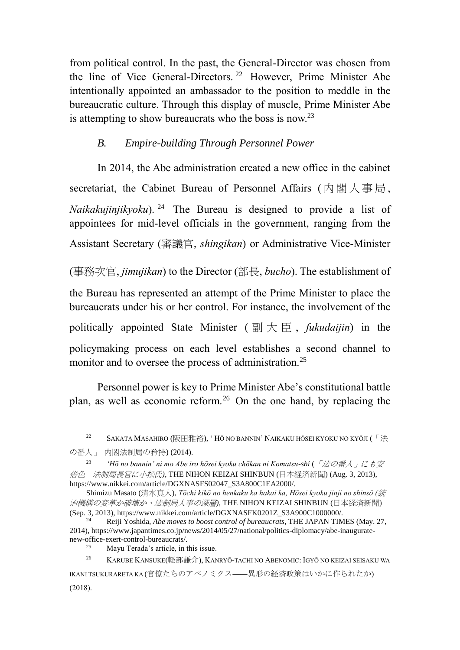from political control. In the past, the General-Director was chosen from the line of Vice General-Directors.<sup>22</sup> However, Prime Minister Abe intentionally appointed an ambassador to the position to meddle in the bureaucratic culture. Through this display of muscle, Prime Minister Abe is attempting to show bureaucrats who the boss is now.<sup>23</sup>

## *B. Empire-building Through Personnel Power*

In 2014, the Abe administration created a new office in the cabinet secretariat, the Cabinet Bureau of Personnel Affairs ( 内 閣 人 事 局 , *Naikakujinjikyoku*). <sup>24</sup> The Bureau is designed to provide a list of appointees for mid-level officials in the government, ranging from the Assistant Secretary (審議官, *shingikan*) or Administrative Vice-Minister

(事務次官, *jimujikan*) to the Director (部長, *bucho*). The establishment of

the Bureau has represented an attempt of the Prime Minister to place the bureaucrats under his or her control. For instance, the involvement of the

politically appointed State Minister ( 副大臣 , *fukudaijin*) in the

policymaking process on each level establishes a second channel to monitor and to oversee the process of administration.<sup>25</sup>

Personnel power is key to Prime Minister Abe's constitutional battle plan, as well as economic reform.<sup>26</sup> On the one hand, by replacing the

<sup>&</sup>lt;sup>22</sup> SAKATA MASAHIRO (阪田雅裕), 'HŌ NO BANNIN' NAIKAKU HŌSEI KYOKU NO KYŌJI (「法

の番人」 内閣法制局の矜持) (2014).

<sup>23</sup> *'Hō no bannin' ni mo Abe iro hōsei kyoku chōkan ni Komatsu-shi* (「法の番人」にも安 倍色 法制局長官に小松氏*)*, THE NIHON KEIZAI SHINBUN (日本経済新聞) (Aug. 3, 2013), https://www.nikkei.com/article/DGXNASFS02047\_S3A800C1EA2000/.

Shimizu Masato (清水真人), *Tōchi kikō no henkaku ka hakai ka, Hōsei kyoku jinji no shinsō (*統 治機構の変革か破壊か、法制局人事の深層*)*, THE NIHON KEIZAI SHINBUN (日本経済新聞) (Sep. 3, 2013), https://www.nikkei.com/article/DGXNASFK0201Z\_S3A900C1000000/.

<sup>24</sup> Reiji Yoshida, *Abe moves to boost control of bureaucrats*, THE JAPAN TIMES (May. 27, 2014), https://www.japantimes.co.jp/news/2014/05/27/national/politics-diplomacy/abe-inauguratenew-office-exert-control-bureaucrats/.

Mayu Terada's article, in this issue.

<sup>&</sup>lt;sup>26</sup> KARUBE KANSUKE(軽部謙介), KANRYŌ-TACHI NO ABENOMIC: IGYŌ NO KEIZAI SEISAKU WA

IKANI TSUKURARETA KA (官僚たちのアベノミクス――異形の経済政策はいかに作られたか) (2018).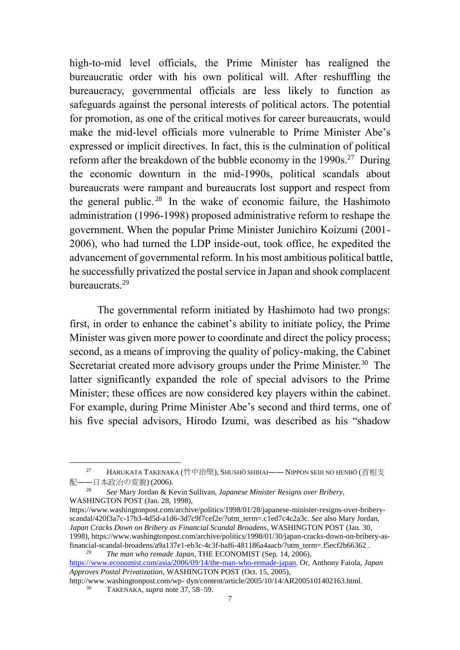high-to-mid level officials, the Prime Minister has realigned the bureaucratic order with his own political will. After reshuffling the bureaucracy, governmental officials are less likely to function as safeguards against the personal interests of political actors. The potential for promotion, as one of the critical motives for career bureaucrats, would make the mid-level officials more vulnerable to Prime Minister Abe's expressed or implicit directives. In fact, this is the culmination of political reform after the breakdown of the bubble economy in the  $1990s$ <sup>27</sup> During the economic downturn in the mid-1990s, political scandals about bureaucrats were rampant and bureaucrats lost support and respect from the general public. 28 In the wake of economic failure, the Hashimoto administration (1996-1998) proposed administrative reform to reshape the government. When the popular Prime Minister Junichiro Koizumi (2001- 2006), who had turned the LDP inside-out, took office, he expedited the advancement of governmental reform. In his most ambitious political battle, he successfully privatized the postal service in Japan and shook complacent bureaucrats.<sup>29</sup>

The governmental reform initiated by Hashimoto had two prongs: first, in order to enhance the cabinet's ability to initiate policy, the Prime Minister was given more power to coordinate and direct the policy process; second, as a means of improving the quality of policy-making, the Cabinet Secretariat created more advisory groups under the Prime Minister.<sup>30</sup> The latter significantly expanded the role of special advisors to the Prime Minister; these offices are now considered key players within the cabinet. For example, during Prime Minister Abe's second and third terms, one of his five special advisors, Hirodo Izumi, was described as his "shadow

<sup>27</sup> HARUKATA TAKENAKA (竹中治堅), SHUSHŌ SHIHAI―― NIPPON SEIJI NO HENBŌ (首相支 配――日本政治の変貌) (2006).

<sup>28</sup> *See* Mary Jordan & Kevin Sullivan, *Japanese Minister Resigns over Bribery*, WASHINGTON POST (Jan. 28, 1998),

https://www.washingtonpost.com/archive/politics/1998/01/28/japanese-minister-resigns-over-briberyscandal/420f3a7c-17b3-4d5d-a1d6-3d7c9f7cef2e/?utm\_term=.c1ed7c4c2a3c. *See* also Mary Jordan, *Japan Cracks Down on Bribery as Financial Scandal Broadens*, WASHINGTON POST (Jan. 30, 1998), https://www.washingtonpost.com/archive/politics/1998/01/30/japan-cracks-down-on-bribery-asfinancial-scandal-broadens/a9a137e1-eb3c-4c3f-baf6-481186a4aacb/?utm\_term=.f5ecf2b66362 . <sup>29</sup> *The man who remade Japan*, THE ECONOMIST (Sep. 14, 2006),

https://www.economist.com/asia/2006/09/14/the-man-who-remade-japan. Or, Anthony Faiola, *Japan Approves Postal Privatization*, WASHINGTON POST (Oct. 15, 2005),

http://www.washingtonpost.com/wp- dyn/content/article/2005/10/14/AR2005101402163.html. <sup>30</sup> TAKENAKA, *supra* note 37, 58–59.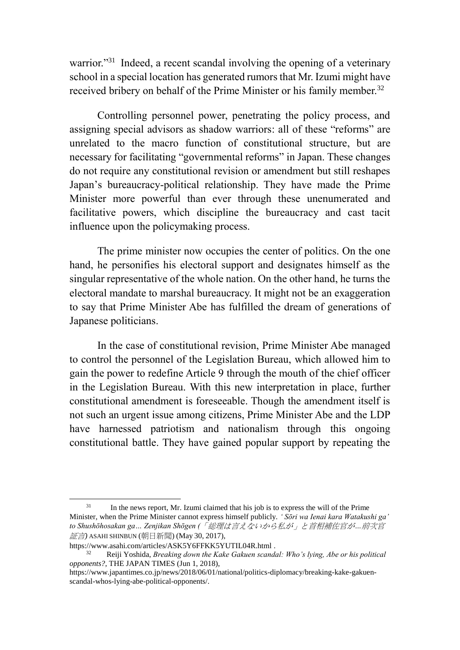warrior."<sup>31</sup> Indeed, a recent scandal involving the opening of a veterinary school in a special location has generated rumors that Mr. Izumi might have received bribery on behalf of the Prime Minister or his family member.<sup>32</sup>

Controlling personnel power, penetrating the policy process, and assigning special advisors as shadow warriors: all of these "reforms" are unrelated to the macro function of constitutional structure, but are necessary for facilitating "governmental reforms" in Japan. These changes do not require any constitutional revision or amendment but still reshapes Japan's bureaucracy-political relationship. They have made the Prime Minister more powerful than ever through these unenumerated and facilitative powers, which discipline the bureaucracy and cast tacit influence upon the policymaking process.

The prime minister now occupies the center of politics. On the one hand, he personifies his electoral support and designates himself as the singular representative of the whole nation. On the other hand, he turns the electoral mandate to marshal bureaucracy. It might not be an exaggeration to say that Prime Minister Abe has fulfilled the dream of generations of Japanese politicians.

In the case of constitutional revision, Prime Minister Abe managed to control the personnel of the Legislation Bureau, which allowed him to gain the power to redefine Article 9 through the mouth of the chief officer in the Legislation Bureau. With this new interpretation in place, further constitutional amendment is foreseeable. Though the amendment itself is not such an urgent issue among citizens, Prime Minister Abe and the LDP have harnessed patriotism and nationalism through this ongoing constitutional battle. They have gained popular support by repeating the

<sup>1</sup> <sup>31</sup> In the news report, Mr. Izumi claimed that his job is to express the will of the Prime Minister, when the Prime Minister cannot express himself publicly. *' Sōri wa Ienai kara Watakushi ga' to Shushōhosakan ga… Zenjikan Shōgen (*「総理は言えないから私が」と首相補佐官が*…*前次官 証言*)* ASAHI SHINBUN (朝日新聞) (May 30, 2017),

https://www.asahi.com/articles/ASK5Y6FFKK5YUTIL04R.html .

<sup>32</sup> Reiji Yoshida, *Breaking down the Kake Gakuen scandal: Who's lying, Abe or his political opponents?*, THE JAPAN TIMES (Jun 1, 2018),

https://www.japantimes.co.jp/news/2018/06/01/national/politics-diplomacy/breaking-kake-gakuenscandal-whos-lying-abe-political-opponents/.